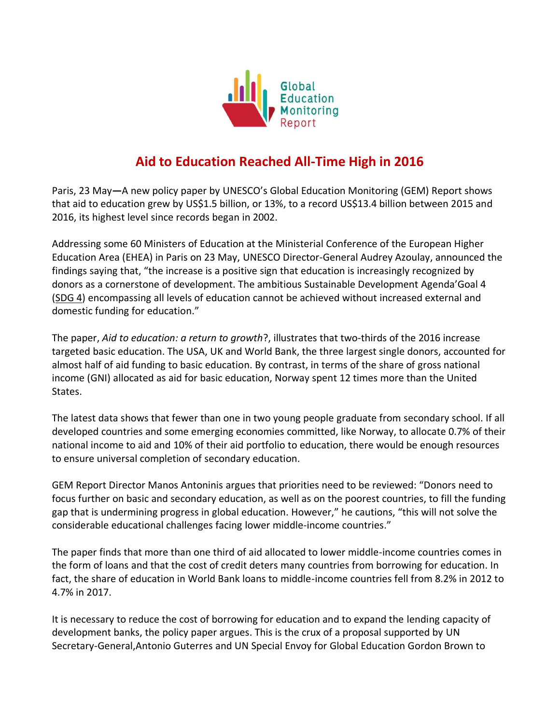

## **Aid to Education Reached All-Time High in 2016**

Paris, 23 May**—**A new policy paper by UNESCO's Global Education Monitoring (GEM) Report shows that aid to education grew by US\$1.5 billion, or 13%, to a record US\$13.4 billion between 2015 and 2016, its highest level since records began in 2002.

Addressing some 60 Ministers of Education at the Ministerial Conference of the European Higher Education Area (EHEA) in Paris on 23 May, UNESCO Director-General Audrey Azoulay, announced the findings saying that, "the increase is a positive sign that education is increasingly recognized by donors as a cornerstone of development. The ambitious Sustainable Development Agenda'Goal 4 [\(SDG 4\)](https://en.unesco.org/education2030-sdg4/targets) encompassing all levels of education cannot be achieved without increased external and domestic funding for education."

The paper, *Aid to education: a return to growth*?, illustrates that two-thirds of the 2016 increase targeted basic education. The USA, UK and World Bank, the three largest single donors, accounted for almost half of aid funding to basic education. By contrast, in terms of the share of gross national income (GNI) allocated as aid for basic education, Norway spent 12 times more than the United States.

The latest data shows that fewer than one in two young people graduate from secondary school. If all developed countries and some emerging economies committed, like Norway, to allocate 0.7% of their national income to aid and 10% of their aid portfolio to education, there would be enough resources to ensure universal completion of secondary education.

GEM Report Director Manos Antoninis argues that priorities need to be reviewed: "Donors need to focus further on basic and secondary education, as well as on the poorest countries, to fill the funding gap that is undermining progress in global education. However," he cautions, "this will not solve the considerable educational challenges facing lower middle-income countries."

The paper finds that more than one third of aid allocated to lower middle-income countries comes in the form of loans and that the cost of credit deters many countries from borrowing for education. In fact, the share of education in World Bank loans to middle-income countries fell from 8.2% in 2012 to 4.7% in 2017.

It is necessary to reduce the cost of borrowing for education and to expand the lending capacity of development banks, the policy paper argues. This is the crux of a proposal supported by UN Secretary-General,Antonio Guterres and UN Special Envoy for Global Education Gordon Brown to